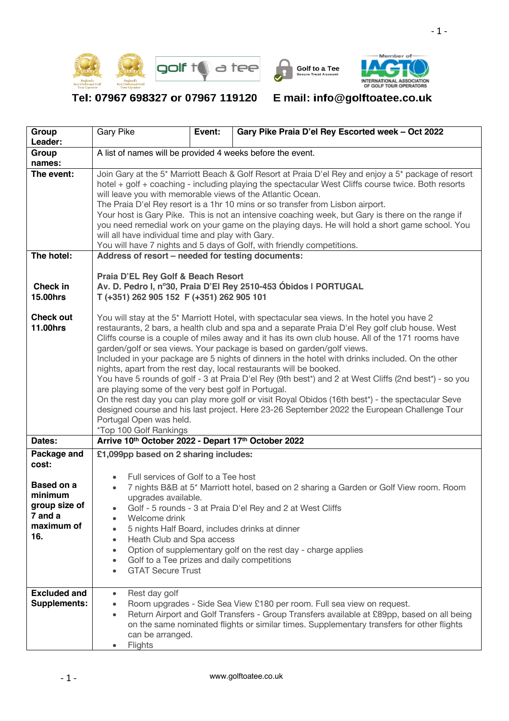$\overline{\phantom{0}}$ 







Tel: 07967 698327 or 07967 119120

## E mail: info@golftoatee.co.uk

| Group<br>Leader:                    | <b>Gary Pike</b>                                                                                                                                                                                                                                                                                                                                                                                                                                                                                                                                                                                                                                                                                                                                                                                                                                                                                                                                                                                | Event: | Gary Pike Praia D'el Rey Escorted week - Oct 2022                                                                                                                                                                                                                 |  |  |  |  |  |
|-------------------------------------|-------------------------------------------------------------------------------------------------------------------------------------------------------------------------------------------------------------------------------------------------------------------------------------------------------------------------------------------------------------------------------------------------------------------------------------------------------------------------------------------------------------------------------------------------------------------------------------------------------------------------------------------------------------------------------------------------------------------------------------------------------------------------------------------------------------------------------------------------------------------------------------------------------------------------------------------------------------------------------------------------|--------|-------------------------------------------------------------------------------------------------------------------------------------------------------------------------------------------------------------------------------------------------------------------|--|--|--|--|--|
| Group                               | A list of names will be provided 4 weeks before the event.                                                                                                                                                                                                                                                                                                                                                                                                                                                                                                                                                                                                                                                                                                                                                                                                                                                                                                                                      |        |                                                                                                                                                                                                                                                                   |  |  |  |  |  |
| names:                              |                                                                                                                                                                                                                                                                                                                                                                                                                                                                                                                                                                                                                                                                                                                                                                                                                                                                                                                                                                                                 |        |                                                                                                                                                                                                                                                                   |  |  |  |  |  |
| The event:                          | Join Gary at the 5* Marriott Beach & Golf Resort at Praia D'el Rey and enjoy a 5* package of resort<br>hotel + golf + coaching - including playing the spectacular West Cliffs course twice. Both resorts<br>will leave you with memorable views of the Atlantic Ocean.<br>The Praia D'el Rey resort is a 1hr 10 mins or so transfer from Lisbon airport.<br>Your host is Gary Pike. This is not an intensive coaching week, but Gary is there on the range if<br>you need remedial work on your game on the playing days. He will hold a short game school. You<br>will all have individual time and play with Gary.<br>You will have 7 nights and 5 days of Golf, with friendly competitions.                                                                                                                                                                                                                                                                                                 |        |                                                                                                                                                                                                                                                                   |  |  |  |  |  |
| The hotel:                          | Address of resort - needed for testing documents:                                                                                                                                                                                                                                                                                                                                                                                                                                                                                                                                                                                                                                                                                                                                                                                                                                                                                                                                               |        |                                                                                                                                                                                                                                                                   |  |  |  |  |  |
| Check in<br><b>15.00hrs</b>         | Praia D'EL Rey Golf & Beach Resort<br>Av. D. Pedro I, nº30, Praia D'El Rey 2510-453 Óbidos I PORTUGAL<br>T (+351) 262 905 152 F (+351) 262 905 101                                                                                                                                                                                                                                                                                                                                                                                                                                                                                                                                                                                                                                                                                                                                                                                                                                              |        |                                                                                                                                                                                                                                                                   |  |  |  |  |  |
| <b>Check out</b><br><b>11.00hrs</b> | You will stay at the 5 <sup>*</sup> Marriott Hotel, with spectacular sea views. In the hotel you have 2<br>restaurants, 2 bars, a health club and spa and a separate Praia D'el Rey golf club house. West<br>Cliffs course is a couple of miles away and it has its own club house. All of the 171 rooms have<br>garden/golf or sea views. Your package is based on garden/golf views.<br>Included in your package are 5 nights of dinners in the hotel with drinks included. On the other<br>nights, apart from the rest day, local restaurants will be booked.<br>You have 5 rounds of golf - 3 at Praia D'el Rey (9th best*) and 2 at West Cliffs (2nd best*) - so you<br>are playing some of the very best golf in Portugal.<br>On the rest day you can play more golf or visit Royal Obidos (16th best*) - the spectacular Seve<br>designed course and his last project. Here 23-26 September 2022 the European Challenge Tour<br>Portugal Open was held.<br><i>*Top 100 Golf Rankings</i> |        |                                                                                                                                                                                                                                                                   |  |  |  |  |  |
| Dates:                              | Arrive 10th October 2022 - Depart 17th October 2022                                                                                                                                                                                                                                                                                                                                                                                                                                                                                                                                                                                                                                                                                                                                                                                                                                                                                                                                             |        |                                                                                                                                                                                                                                                                   |  |  |  |  |  |
| Package and<br>cost:                | £1,099pp based on 2 sharing includes:                                                                                                                                                                                                                                                                                                                                                                                                                                                                                                                                                                                                                                                                                                                                                                                                                                                                                                                                                           |        |                                                                                                                                                                                                                                                                   |  |  |  |  |  |
| Based on a                          | Full services of Golf to a Tee host<br>7 nights B&B at 5* Marriott hotel, based on 2 sharing a Garden or Golf View room. Room<br>$\bullet$                                                                                                                                                                                                                                                                                                                                                                                                                                                                                                                                                                                                                                                                                                                                                                                                                                                      |        |                                                                                                                                                                                                                                                                   |  |  |  |  |  |
| minimum<br>group size of            | upgrades available.                                                                                                                                                                                                                                                                                                                                                                                                                                                                                                                                                                                                                                                                                                                                                                                                                                                                                                                                                                             |        |                                                                                                                                                                                                                                                                   |  |  |  |  |  |
| 7 and a                             | Welcome drink                                                                                                                                                                                                                                                                                                                                                                                                                                                                                                                                                                                                                                                                                                                                                                                                                                                                                                                                                                                   |        | Golf - 5 rounds - 3 at Praia D'el Rey and 2 at West Cliffs                                                                                                                                                                                                        |  |  |  |  |  |
| maximum of                          |                                                                                                                                                                                                                                                                                                                                                                                                                                                                                                                                                                                                                                                                                                                                                                                                                                                                                                                                                                                                 |        | 5 nights Half Board, includes drinks at dinner                                                                                                                                                                                                                    |  |  |  |  |  |
| 16.                                 | Heath Club and Spa access<br>$\bullet$                                                                                                                                                                                                                                                                                                                                                                                                                                                                                                                                                                                                                                                                                                                                                                                                                                                                                                                                                          |        |                                                                                                                                                                                                                                                                   |  |  |  |  |  |
|                                     | $\bullet$<br>Golf to a Tee prizes and daily competitions<br>$\bullet$                                                                                                                                                                                                                                                                                                                                                                                                                                                                                                                                                                                                                                                                                                                                                                                                                                                                                                                           |        | Option of supplementary golf on the rest day - charge applies                                                                                                                                                                                                     |  |  |  |  |  |
|                                     | <b>GTAT Secure Trust</b>                                                                                                                                                                                                                                                                                                                                                                                                                                                                                                                                                                                                                                                                                                                                                                                                                                                                                                                                                                        |        |                                                                                                                                                                                                                                                                   |  |  |  |  |  |
| <b>Excluded and</b><br>Supplements: | Rest day golf<br>$\bullet$<br>$\bullet$<br>$\bullet$<br>can be arranged.<br>Flights                                                                                                                                                                                                                                                                                                                                                                                                                                                                                                                                                                                                                                                                                                                                                                                                                                                                                                             |        | Room upgrades - Side Sea View £180 per room. Full sea view on request.<br>Return Airport and Golf Transfers - Group Transfers available at £89pp, based on all being<br>on the same nominated flights or similar times. Supplementary transfers for other flights |  |  |  |  |  |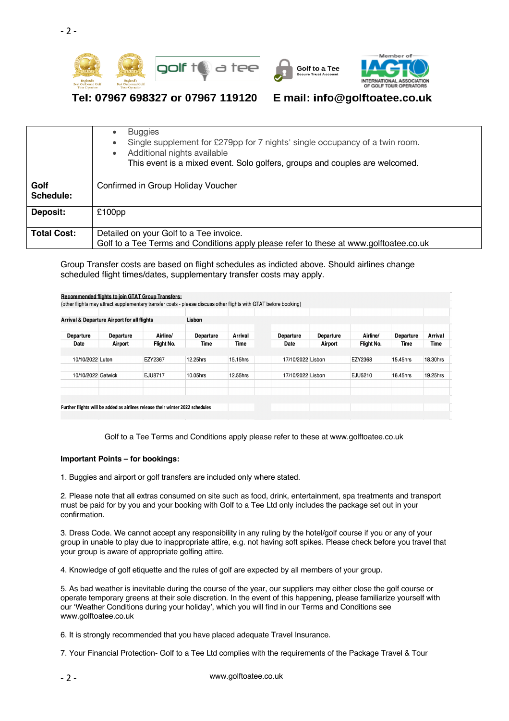





## Tel: 07967 698327 or 07967 119120

## E mail: info@golftoatee.co.uk

|                    | <b>Buggies</b><br>$\bullet$<br>Single supplement for £279pp for 7 nights' single occupancy of a twin room.<br>$\bullet$<br>Additional nights available<br>٠<br>This event is a mixed event. Solo golfers, groups and couples are welcomed. |
|--------------------|--------------------------------------------------------------------------------------------------------------------------------------------------------------------------------------------------------------------------------------------|
| Golf               | Confirmed in Group Holiday Voucher                                                                                                                                                                                                         |
| Schedule:          |                                                                                                                                                                                                                                            |
| Deposit:           | $£100$ pp                                                                                                                                                                                                                                  |
| <b>Total Cost:</b> | Detailed on your Golf to a Tee invoice.                                                                                                                                                                                                    |
|                    | Golf to a Tee Terms and Conditions apply please refer to these at www.golftoatee.co.uk                                                                                                                                                     |

Group Transfer costs are based on flight schedules as indicted above. Should airlines change scheduled flight times/dates, supplementary transfer costs may apply.

|                    | <b>Arrival &amp; Departure Airport for all flights</b> |            | Lisbon            |          |                          |                      |            |                   |          |
|--------------------|--------------------------------------------------------|------------|-------------------|----------|--------------------------|----------------------|------------|-------------------|----------|
|                    |                                                        | Airline/   |                   | Arrival  |                          |                      | Airline/   |                   | Arrival  |
| Departure<br>Date  | Departure<br>Airport                                   | Flight No. | Departure<br>Time | Time     | Departure<br><b>Date</b> | Departure<br>Airport | Flight No. | Departure<br>Time | Time     |
|                    |                                                        |            |                   |          |                          |                      |            |                   |          |
| 10/10/2022 Luton   |                                                        | EZY2367    | 12.25hrs          | 15.15hrs | 17/10/2022 Lisbon        |                      | EZY2368    | 15.45hrs          | 18.30hrs |
| 10/10/2022 Gatwick |                                                        | EJU8717    | 10.05hrs          | 12.55hrs | 17/10/2022 Lisbon        |                      | EJU5210    | 16.45hrs          | 19.25hrs |
|                    |                                                        |            |                   |          |                          |                      |            |                   |          |

Golf to a Tee Terms and Conditions apply please refer to these at www.golftoatee.co.uk

## **Important Points – for bookings:**

1. Buggies and airport or golf transfers are included only where stated.

2. Please note that all extras consumed on site such as food, drink, entertainment, spa treatments and transport must be paid for by you and your booking with Golf to a Tee Ltd only includes the package set out in your confirmation.

3. Dress Code. We cannot accept any responsibility in any ruling by the hotel/golf course if you or any of your group in unable to play due to inappropriate attire, e.g. not having soft spikes. Please check before you travel that your group is aware of appropriate golfing attire.

4. Knowledge of golf etiquette and the rules of golf are expected by all members of your group.

5. As bad weather is inevitable during the course of the year, our suppliers may either close the golf course or operate temporary greens at their sole discretion. In the event of this happening, please familiarize yourself with our 'Weather Conditions during your holiday', which you will find in our Terms and Conditions see www.golftoatee.co.uk

6. It is strongly recommended that you have placed adequate Travel Insurance.

7. Your Financial Protection- Golf to a Tee Ltd complies with the requirements of the Package Travel & Tour